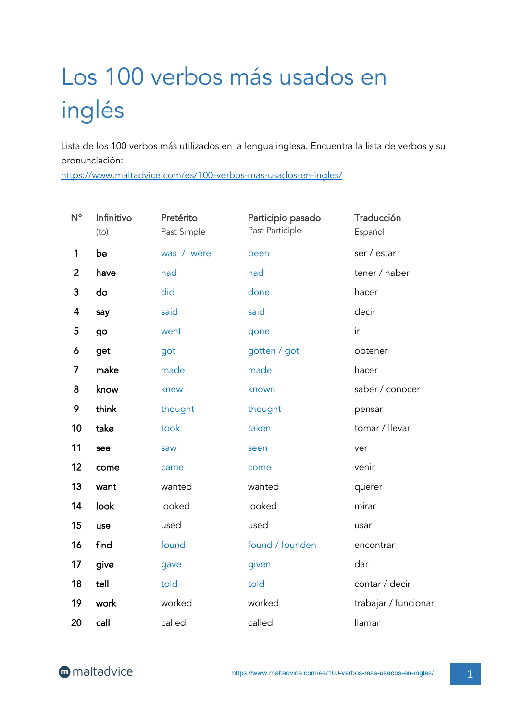## Los 100 verbos más usados en inglés

Lista de los 100 verbos más utilizados en la lengua inglesa. Encuentra la lista de verbos y su pronunciación:

https://www.maltadvice.com/es/100-verbos-mas-usados-en-ingles/

| $N^{\circ}$    | Infinitivo<br>(to) | Pretérito<br>Past Simple | Participio pasado<br>Past Participle | Traducción<br>Español |
|----------------|--------------------|--------------------------|--------------------------------------|-----------------------|
| 1              | be                 | was / were               | been                                 | ser / estar           |
| $\overline{2}$ | have               | had                      | had                                  | tener / haber         |
| 3              | do                 | did                      | done                                 | hacer                 |
| 4              | say                | said                     | said                                 | decir                 |
| 5              | go                 | went                     | gone                                 | ir                    |
| 6              | get                | got                      | gotten / got                         | obtener               |
| 7              | make               | made                     | made                                 | hacer                 |
| 8              | know               | knew                     | known                                | saber / conocer       |
| 9              | think              | thought                  | thought                              | pensar                |
| 10             | take               | took                     | taken                                | tomar / llevar        |
| 11             | see                | saw                      | seen                                 | ver                   |
| 12             | come               | came                     | come                                 | venir                 |
| 13             | want               | wanted                   | wanted                               | querer                |
| 14             | look               | looked                   | looked                               | mirar                 |
| 15             | use                | used                     | used                                 | usar                  |
| 16             | find               | found                    | found / founden                      | encontrar             |
| 17             | give               | gave                     | given                                | dar                   |
| 18             | tell               | told                     | told                                 | contar / decir        |
| 19             | work               | worked                   | worked                               | trabajar / funcionar  |
| 20             | call               | called                   | called                               | llamar                |
|                |                    |                          |                                      |                       |

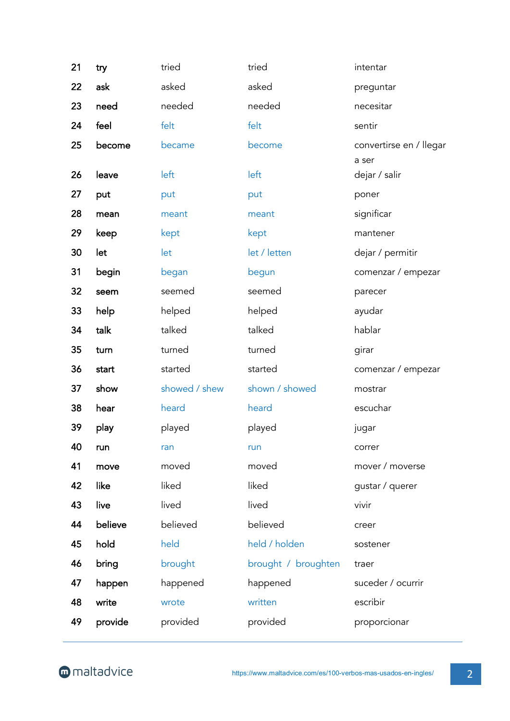| 21 | try     | tried         | tried               | intentar                         |
|----|---------|---------------|---------------------|----------------------------------|
| 22 | ask     | asked         | asked               | preguntar                        |
| 23 | need    | needed        | needed              | necesitar                        |
| 24 | feel    | felt          | felt                | sentir                           |
| 25 | become  | became        | become              | convertirse en / llegar<br>a ser |
| 26 | leave   | left          | left                | dejar / salir                    |
| 27 | put     | put           | put                 | poner                            |
| 28 | mean    | meant         | meant               | significar                       |
| 29 | keep    | kept          | kept                | mantener                         |
| 30 | let     | let           | let / letten        | dejar / permitir                 |
| 31 | begin   | began         | begun               | comenzar / empezar               |
| 32 | seem    | seemed        | seemed              | parecer                          |
| 33 | help    | helped        | helped              | ayudar                           |
| 34 | talk    | talked        | talked              | hablar                           |
| 35 | turn    | turned        | turned              | girar                            |
| 36 | start   | started       | started             | comenzar / empezar               |
| 37 | show    | showed / shew | shown / showed      | mostrar                          |
| 38 | hear    | heard         | heard               | escuchar                         |
| 39 | play    | played        | played              | jugar                            |
| 40 | run     | ran           | run                 | correr                           |
| 41 | move    | moved         | moved               | mover / moverse                  |
| 42 | like    | liked         | liked               | gustar / querer                  |
| 43 | live    | lived         | lived               | vivir                            |
| 44 | believe | believed      | believed            | creer                            |
| 45 | hold    | held          | held / holden       | sostener                         |
| 46 | bring   | brought       | brought / broughten | traer                            |
| 47 | happen  | happened      | happened            | suceder / ocurrir                |
| 48 | write   | wrote         | written             | escribir                         |
| 49 | provide | provided      | provided            | proporcionar                     |
|    |         |               |                     |                                  |

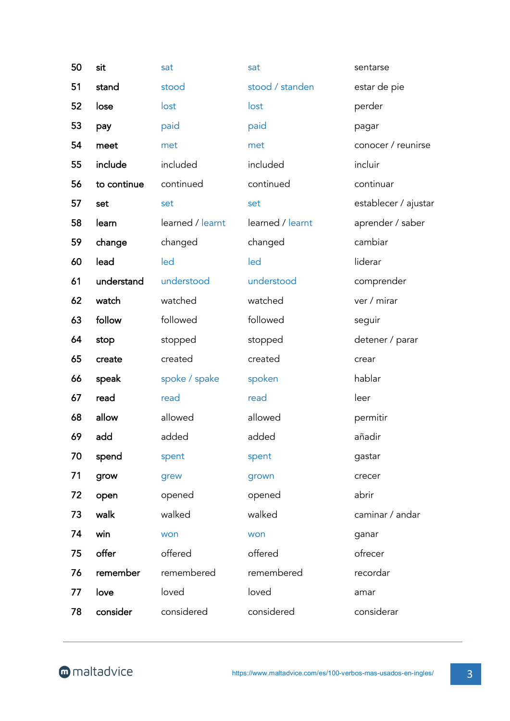| 50 | sit         | sat              | sat              | sentarse             |
|----|-------------|------------------|------------------|----------------------|
| 51 | stand       | stood            | stood / standen  | estar de pie         |
| 52 | lose        | lost             | lost             | perder               |
| 53 | pay         | paid             | paid             | pagar                |
| 54 | meet        | met              | met              | conocer / reunirse   |
| 55 | include     | included         | included         | incluir              |
| 56 | to continue | continued        | continued        | continuar            |
| 57 | set         | set              | set              | establecer / ajustar |
| 58 | learn       | learned / learnt | learned / learnt | aprender / saber     |
| 59 | change      | changed          | changed          | cambiar              |
| 60 | lead        | led              | led              | liderar              |
| 61 | understand  | understood       | understood       | comprender           |
| 62 | watch       | watched          | watched          | ver / mirar          |
| 63 | follow      | followed         | followed         | seguir               |
| 64 | stop        | stopped          | stopped          | detener / parar      |
| 65 | create      | created          | created          | crear                |
| 66 | speak       | spoke / spake    | spoken           | hablar               |
| 67 | read        | read             | read             | leer                 |
| 68 | allow       | allowed          | allowed          | permitir             |
| 69 | add         | added            | added            | añadir               |
| 70 | spend       | spent            | spent            | gastar               |
| 71 | grow        | grew             | grown            | crecer               |
| 72 | open        | opened           | opened           | abrir                |
| 73 | walk        | walked           | walked           | caminar / andar      |
| 74 | win         | won              | won              | ganar                |
| 75 | offer       | offered          | offered          | ofrecer              |
| 76 | remember    | remembered       | remembered       | recordar             |
| 77 | love        | loved            | loved            | amar                 |
| 78 | consider    | considered       | considered       | considerar           |
|    |             |                  |                  |                      |